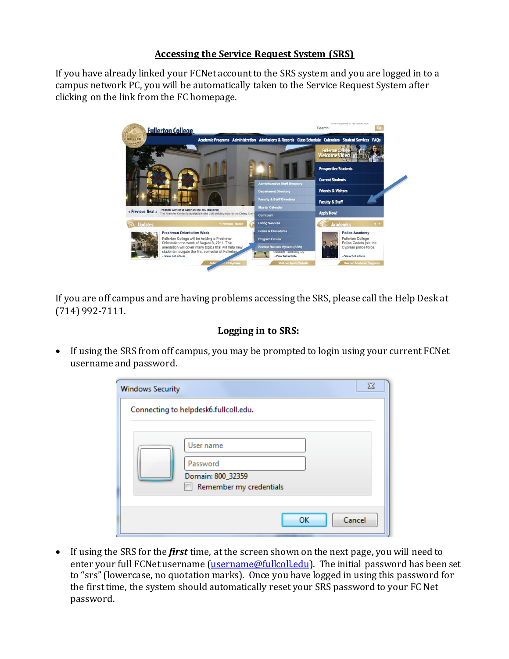## **Accessing the Service Request System (SRS)**

If you have already linked your FCNet account to the SRS system and you are logged in to a campus network PC, you will be automatically taken to the Service Request System after clicking on the link from the FC homepage.



If you are off campus and are having problems accessing the SRS, please call the Help Desk at (714) 992-7111.

## **Logging in to SRS:**

• If using the SRS from off campus, you may be prompted to login using your current FCNet username and password.

| <b>Windows Security</b> | $\Sigma$                                                              |
|-------------------------|-----------------------------------------------------------------------|
|                         | Connecting to helpdesk6.fullcoll.edu.                                 |
|                         | User name<br>Password<br>Domain: 800_32359<br>Remember my credentials |
|                         | OK<br>Cancel                                                          |

 If using the SRS for the *first* time, at the screen shown on the next page, you will need to enter your full FCNet username [\(username@fullcoll.edu\)](mailto:username@fullcoll.edu). The initial password has been set to "srs" (lowercase, no quotation marks). Once you have logged in using this password for the first time, the system should automatically reset your SRS password to your FC Net password.